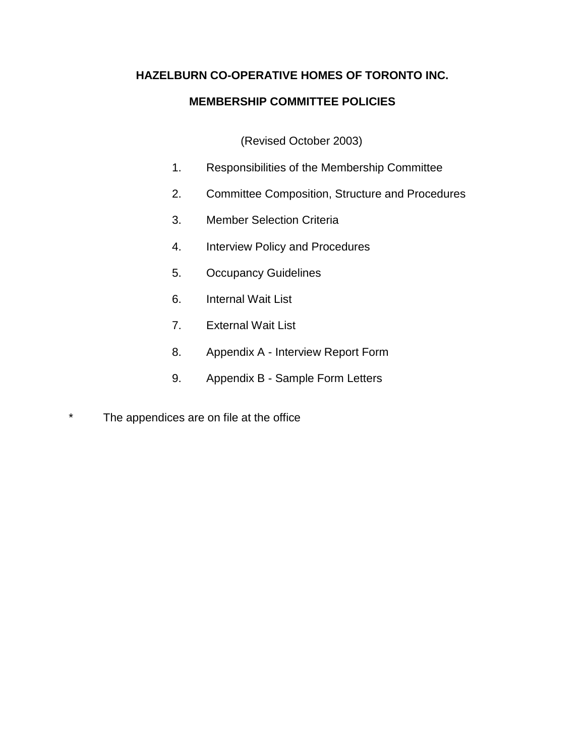# **HAZELBURN CO-OPERATIVE HOMES OF TORONTO INC.**

# **MEMBERSHIP COMMITTEE POLICIES**

(Revised October 2003)

- 1. Responsibilities of the Membership Committee
- 2. Committee Composition, Structure and Procedures
- 3. Member Selection Criteria
- 4. Interview Policy and Procedures
- 5. Occupancy Guidelines
- 6. Internal Wait List
- 7. External Wait List
- 8. Appendix A Interview Report Form
- 9. Appendix B Sample Form Letters
- \* The appendices are on file at the office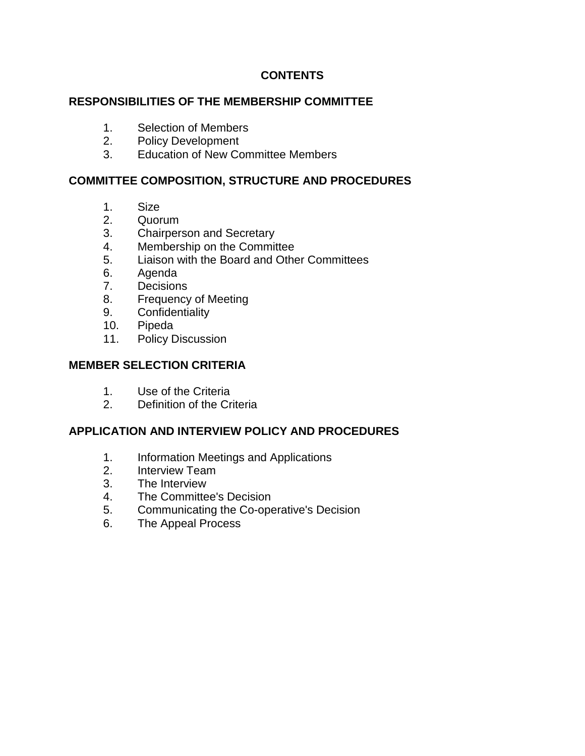# **CONTENTS**

### **RESPONSIBILITIES OF THE MEMBERSHIP COMMITTEE**

- 1. Selection of Members
- 2. Policy Development
- 3. Education of New Committee Members

## **COMMITTEE COMPOSITION, STRUCTURE AND PROCEDURES**

- 1. Size
- 2. Quorum
- 3. Chairperson and Secretary
- 4. Membership on the Committee
- 5. Liaison with the Board and Other Committees
- 6. Agenda
- 7. Decisions
- 8. Frequency of Meeting
- 9. Confidentiality
- 10. Pipeda
- 11. Policy Discussion

## **MEMBER SELECTION CRITERIA**

- 1. Use of the Criteria
- 2. Definition of the Criteria

# **APPLICATION AND INTERVIEW POLICY AND PROCEDURES**

- 1. Information Meetings and Applications
- 2. Interview Team
- 3. The Interview
- 4. The Committee's Decision
- 5. Communicating the Co-operative's Decision
- 6. The Appeal Process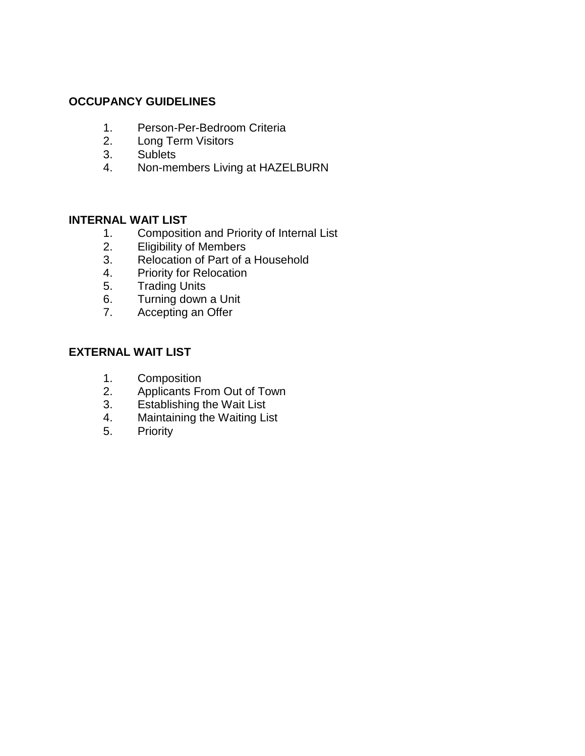## **OCCUPANCY GUIDELINES**

- 1. Person-Per-Bedroom Criteria
- 2. Long Term Visitors
- 3. Sublets
- 4. Non-members Living at HAZELBURN

### **INTERNAL WAIT LIST**

- 1. Composition and Priority of Internal List
- 2. Eligibility of Members<br>3. Relocation of Part of a
- Relocation of Part of a Household
- 4. Priority for Relocation
- 5. Trading Units
- 6. Turning down a Unit
- 7. Accepting an Offer

# **EXTERNAL WAIT LIST**

- 1. Composition<br>2. Applicants Fr
- Applicants From Out of Town
- 3. Establishing the Wait List
- 4. Maintaining the Waiting List
- 5. Priority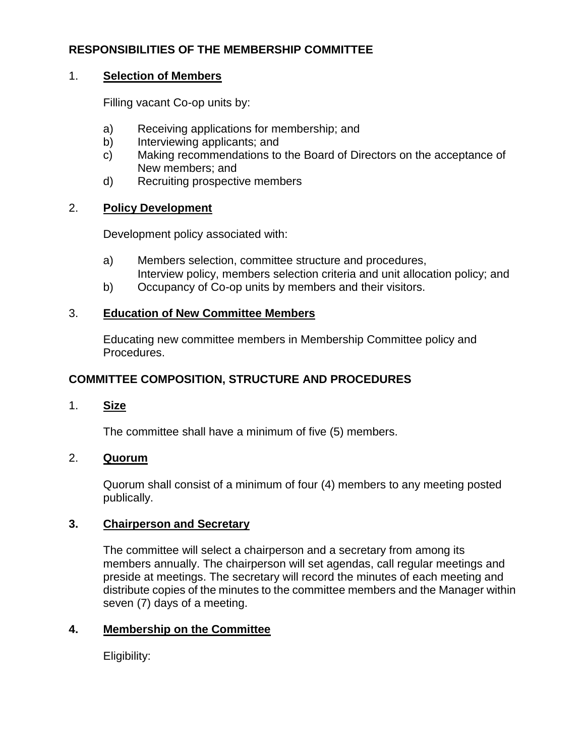# **RESPONSIBILITIES OF THE MEMBERSHIP COMMITTEE**

### 1. **Selection of Members**

Filling vacant Co-op units by:

- a) Receiving applications for membership; and
- b) Interviewing applicants; and
- c) Making recommendations to the Board of Directors on the acceptance of New members; and
- d) Recruiting prospective members

## 2. **Policy Development**

Development policy associated with:

- a) Members selection, committee structure and procedures,
- Interview policy, members selection criteria and unit allocation policy; and
- b) Occupancy of Co-op units by members and their visitors.

## 3. **Education of New Committee Members**

Educating new committee members in Membership Committee policy and Procedures.

# **COMMITTEE COMPOSITION, STRUCTURE AND PROCEDURES**

1. **Size**

The committee shall have a minimum of five (5) members.

# 2. **Quorum**

Quorum shall consist of a minimum of four (4) members to any meeting posted publically.

### **3. Chairperson and Secretary**

The committee will select a chairperson and a secretary from among its members annually. The chairperson will set agendas, call regular meetings and preside at meetings. The secretary will record the minutes of each meeting and distribute copies of the minutes to the committee members and the Manager within seven (7) days of a meeting.

# **4. Membership on the Committee**

Eligibility: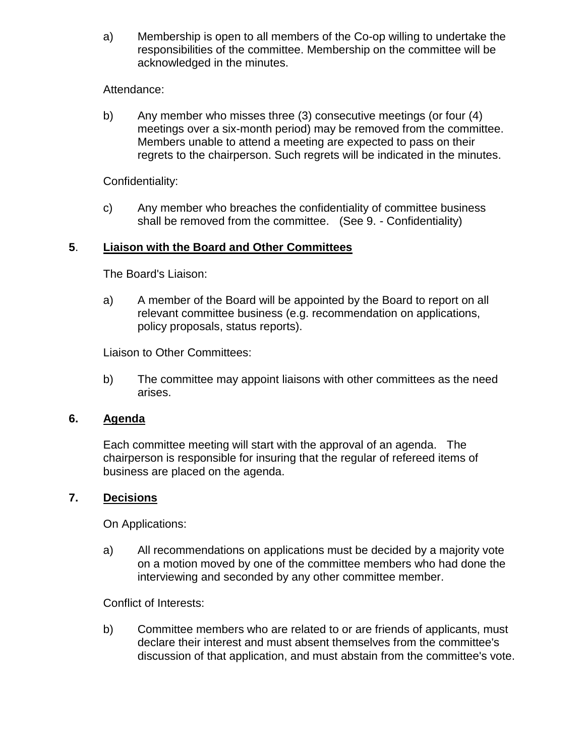a) Membership is open to all members of the Co-op willing to undertake the responsibilities of the committee. Membership on the committee will be acknowledged in the minutes.

## Attendance:

b) Any member who misses three (3) consecutive meetings (or four (4) meetings over a six-month period) may be removed from the committee. Members unable to attend a meeting are expected to pass on their regrets to the chairperson. Such regrets will be indicated in the minutes.

Confidentiality:

c) Any member who breaches the confidentiality of committee business shall be removed from the committee. (See 9. - Confidentiality)

# **5**. **Liaison with the Board and Other Committees**

The Board's Liaison:

a) A member of the Board will be appointed by the Board to report on all relevant committee business (e.g. recommendation on applications, policy proposals, status reports).

Liaison to Other Committees:

b) The committee may appoint liaisons with other committees as the need arises.

### **6. Agenda**

Each committee meeting will start with the approval of an agenda. The chairperson is responsible for insuring that the regular of refereed items of business are placed on the agenda.

### **7. Decisions**

On Applications:

a) All recommendations on applications must be decided by a majority vote on a motion moved by one of the committee members who had done the interviewing and seconded by any other committee member.

Conflict of Interests:

b) Committee members who are related to or are friends of applicants, must declare their interest and must absent themselves from the committee's discussion of that application, and must abstain from the committee's vote.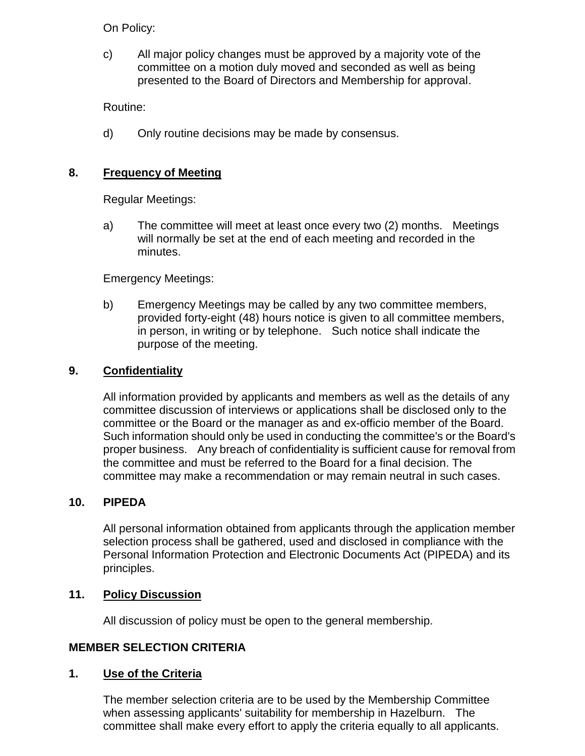On Policy:

c) All major policy changes must be approved by a majority vote of the committee on a motion duly moved and seconded as well as being presented to the Board of Directors and Membership for approval.

Routine:

d) Only routine decisions may be made by consensus.

## **8. Frequency of Meeting**

Regular Meetings:

a) The committee will meet at least once every two (2) months. Meetings will normally be set at the end of each meeting and recorded in the minutes.

Emergency Meetings:

b) Emergency Meetings may be called by any two committee members, provided forty-eight (48) hours notice is given to all committee members, in person, in writing or by telephone. Such notice shall indicate the purpose of the meeting.

### **9. Confidentiality**

All information provided by applicants and members as well as the details of any committee discussion of interviews or applications shall be disclosed only to the committee or the Board or the manager as and ex-officio member of the Board. Such information should only be used in conducting the committee's or the Board's proper business. Any breach of confidentiality is sufficient cause for removal from the committee and must be referred to the Board for a final decision. The committee may make a recommendation or may remain neutral in such cases.

### **10. PIPEDA**

All personal information obtained from applicants through the application member selection process shall be gathered, used and disclosed in compliance with the Personal Information Protection and Electronic Documents Act (PIPEDA) and its principles.

### **11. Policy Discussion**

All discussion of policy must be open to the general membership.

### **MEMBER SELECTION CRITERIA**

### **1. Use of the Criteria**

The member selection criteria are to be used by the Membership Committee when assessing applicants' suitability for membership in Hazelburn. The committee shall make every effort to apply the criteria equally to all applicants.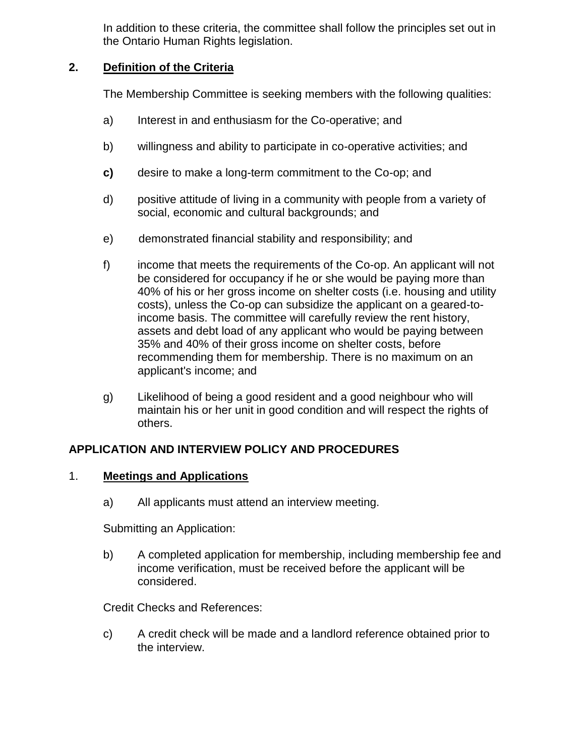In addition to these criteria, the committee shall follow the principles set out in the Ontario Human Rights legislation.

## **2. Definition of the Criteria**

The Membership Committee is seeking members with the following qualities:

- a) Interest in and enthusiasm for the Co-operative; and
- b) willingness and ability to participate in co-operative activities; and
- **c)** desire to make a long-term commitment to the Co-op; and
- d) positive attitude of living in a community with people from a variety of social, economic and cultural backgrounds; and
- e) demonstrated financial stability and responsibility; and
- f) income that meets the requirements of the Co-op. An applicant will not be considered for occupancy if he or she would be paying more than 40% of his or her gross income on shelter costs (i.e. housing and utility costs), unless the Co-op can subsidize the applicant on a geared-toincome basis. The committee will carefully review the rent history, assets and debt load of any applicant who would be paying between 35% and 40% of their gross income on shelter costs, before recommending them for membership. There is no maximum on an applicant's income; and
- g) Likelihood of being a good resident and a good neighbour who will maintain his or her unit in good condition and will respect the rights of others.

# **APPLICATION AND INTERVIEW POLICY AND PROCEDURES**

### 1. **Meetings and Applications**

a) All applicants must attend an interview meeting.

Submitting an Application:

b) A completed application for membership, including membership fee and income verification, must be received before the applicant will be considered.

Credit Checks and References:

c) A credit check will be made and a landlord reference obtained prior to the interview.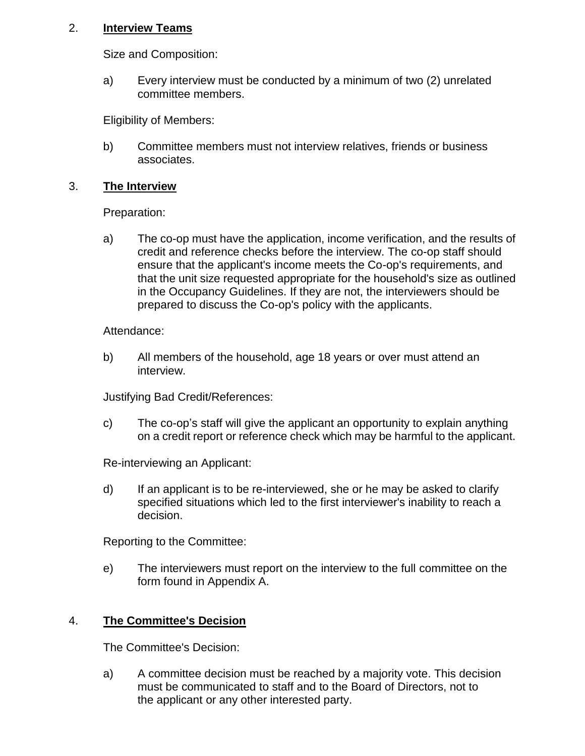### 2. **Interview Teams**

Size and Composition:

a) Every interview must be conducted by a minimum of two (2) unrelated committee members.

Eligibility of Members:

b) Committee members must not interview relatives, friends or business associates.

### 3. **The Interview**

Preparation:

a) The co-op must have the application, income verification, and the results of credit and reference checks before the interview. The co-op staff should ensure that the applicant's income meets the Co-op's requirements, and that the unit size requested appropriate for the household's size as outlined in the Occupancy Guidelines. If they are not, the interviewers should be prepared to discuss the Co-op's policy with the applicants.

Attendance:

b) All members of the household, age 18 years or over must attend an interview.

Justifying Bad Credit/References:

c) The co-op's staff will give the applicant an opportunity to explain anything on a credit report or reference check which may be harmful to the applicant.

Re-interviewing an Applicant:

d) If an applicant is to be re-interviewed, she or he may be asked to clarify specified situations which led to the first interviewer's inability to reach a decision.

Reporting to the Committee:

e) The interviewers must report on the interview to the full committee on the form found in Appendix A.

# 4. **The Committee's Decision**

The Committee's Decision:

a) A committee decision must be reached by a majority vote. This decision must be communicated to staff and to the Board of Directors, not to the applicant or any other interested party.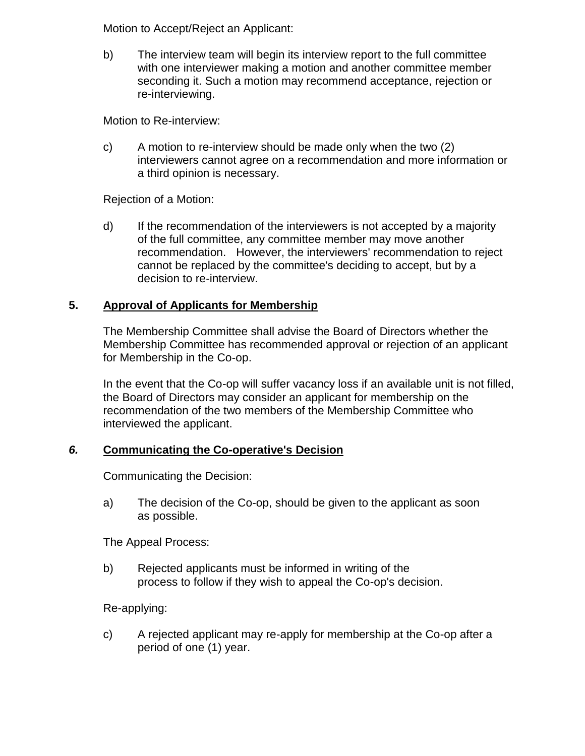Motion to Accept/Reject an Applicant:

b) The interview team will begin its interview report to the full committee with one interviewer making a motion and another committee member seconding it. Such a motion may recommend acceptance, rejection or re-interviewing.

Motion to Re-interview:

c) A motion to re-interview should be made only when the two (2) interviewers cannot agree on a recommendation and more information or a third opinion is necessary.

Rejection of a Motion:

d) If the recommendation of the interviewers is not accepted by a majority of the full committee, any committee member may move another recommendation. However, the interviewers' recommendation to reject cannot be replaced by the committee's deciding to accept, but by a decision to re-interview.

# **5. Approval of Applicants for Membership**

The Membership Committee shall advise the Board of Directors whether the Membership Committee has recommended approval or rejection of an applicant for Membership in the Co-op.

In the event that the Co-op will suffer vacancy loss if an available unit is not filled, the Board of Directors may consider an applicant for membership on the recommendation of the two members of the Membership Committee who interviewed the applicant.

### *6.* **Communicating the Co-operative's Decision**

Communicating the Decision:

a) The decision of the Co-op, should be given to the applicant as soon as possible.

The Appeal Process:

b) Rejected applicants must be informed in writing of the process to follow if they wish to appeal the Co-op's decision.

Re-applying:

c) A rejected applicant may re-apply for membership at the Co-op after a period of one (1) year.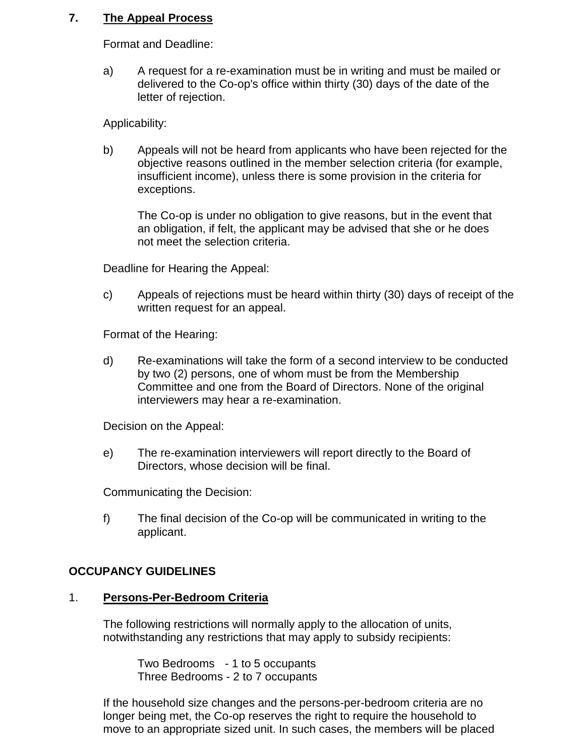### **7. The Appeal Process**

Format and Deadline:

a) A request for a re-examination must be in writing and must be mailed or delivered to the Co-op's office within thirty (30) days of the date of the letter of rejection.

Applicability:

b) Appeals will not be heard from applicants who have been rejected for the objective reasons outlined in the member selection criteria (for example, insufficient income), unless there is some provision in the criteria for exceptions.

The Co-op is under no obligation to give reasons, but in the event that an obligation, if felt, the applicant may be advised that she or he does not meet the selection criteria.

Deadline for Hearing the Appeal:

c) Appeals of rejections must be heard within thirty (30) days of receipt of the written request for an appeal.

Format of the Hearing:

d) Re-examinations will take the form of a second interview to be conducted by two (2) persons, one of whom must be from the Membership Committee and one from the Board of Directors. None of the original interviewers may hear a re-examination.

Decision on the Appeal:

e) The re-examination interviewers will report directly to the Board of Directors, whose decision will be final.

Communicating the Decision:

f) The final decision of the Co-op will be communicated in writing to the applicant.

### **OCCUPANCY GUIDELINES**

### 1. **Persons-Per-Bedroom Criteria**

The following restrictions will normally apply to the allocation of units, notwithstanding any restrictions that may apply to subsidy recipients:

Two Bedrooms - 1 to 5 occupants Three Bedrooms - 2 to 7 occupants

If the household size changes and the persons-per-bedroom criteria are no longer being met, the Co-op reserves the right to require the household to move to an appropriate sized unit. In such cases, the members will be placed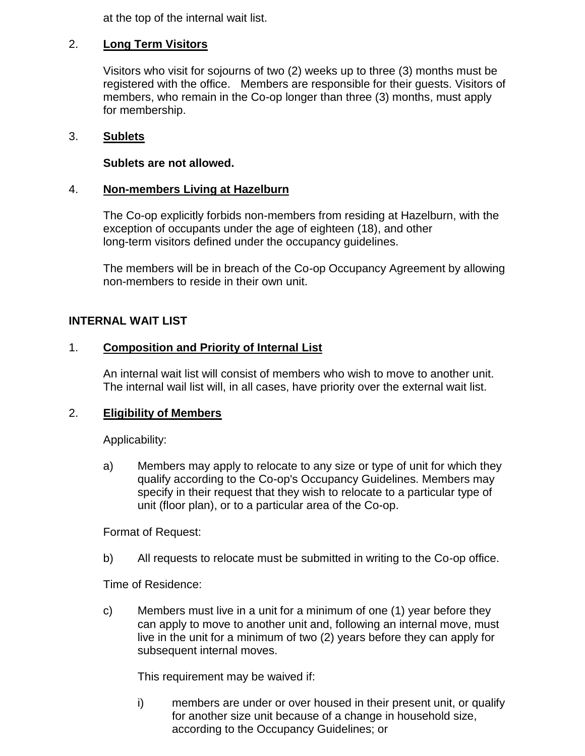at the top of the internal wait list.

## 2. **Long Term Visitors**

Visitors who visit for sojourns of two (2) weeks up to three (3) months must be registered with the office. Members are responsible for their guests. Visitors of members, who remain in the Co-op longer than three (3) months, must apply for membership.

### 3. **Sublets**

### **Sublets are not allowed.**

### 4. **Non-members Living at Hazelburn**

The Co-op explicitly forbids non-members from residing at Hazelburn, with the exception of occupants under the age of eighteen (18), and other long-term visitors defined under the occupancy guidelines.

The members will be in breach of the Co-op Occupancy Agreement by allowing non-members to reside in their own unit.

### **INTERNAL WAIT LIST**

### 1. **Composition and Priority of Internal List**

An internal wait list will consist of members who wish to move to another unit. The internal wail list will, in all cases, have priority over the external wait list.

### 2. **Eligibility of Members**

Applicability:

a) Members may apply to relocate to any size or type of unit for which they qualify according to the Co-op's Occupancy Guidelines. Members may specify in their request that they wish to relocate to a particular type of unit (floor plan), or to a particular area of the Co-op.

Format of Request:

b) All requests to relocate must be submitted in writing to the Co-op office.

Time of Residence:

c) Members must live in a unit for a minimum of one (1) year before they can apply to move to another unit and, following an internal move, must live in the unit for a minimum of two (2) years before they can apply for subsequent internal moves.

This requirement may be waived if:

i) members are under or over housed in their present unit, or qualify for another size unit because of a change in household size, according to the Occupancy Guidelines; or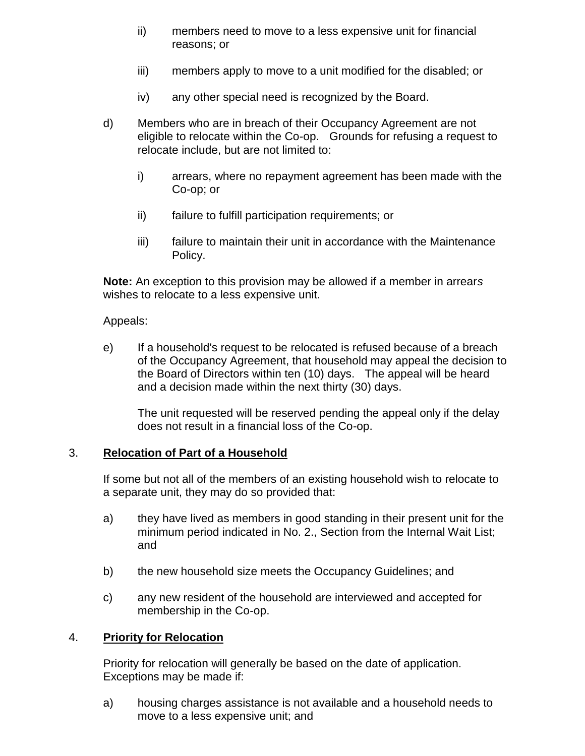- ii) members need to move to a less expensive unit for financial reasons; or
- iii) members apply to move to a unit modified for the disabled; or
- iv) any other special need is recognized by the Board.
- d) Members who are in breach of their Occupancy Agreement are not eligible to relocate within the Co-op. Grounds for refusing a request to relocate include, but are not limited to:
	- i) arrears, where no repayment agreement has been made with the Co-op; or
	- ii) failure to fulfill participation requirements; or
	- iii) failure to maintain their unit in accordance with the Maintenance Policy.

**Note:** An exception to this provision may be allowed if a member in arrear*s* wishes to relocate to a less expensive unit.

### Appeals:

e) If a household's request to be relocated is refused because of a breach of the Occupancy Agreement, that household may appeal the decision to the Board of Directors within ten (10) days. The appeal will be heard and a decision made within the next thirty (30) days.

The unit requested will be reserved pending the appeal only if the delay does not result in a financial loss of the Co-op.

### 3. **Relocation of Part of a Household**

If some but not all of the members of an existing household wish to relocate to a separate unit, they may do so provided that:

- a) they have lived as members in good standing in their present unit for the minimum period indicated in No. 2., Section from the Internal Wait List; and
- b) the new household size meets the Occupancy Guidelines; and
- c) any new resident of the household are interviewed and accepted for membership in the Co-op.

### 4. **Priority for Relocation**

Priority for relocation will generally be based on the date of application. Exceptions may be made if:

a) housing charges assistance is not available and a household needs to move to a less expensive unit; and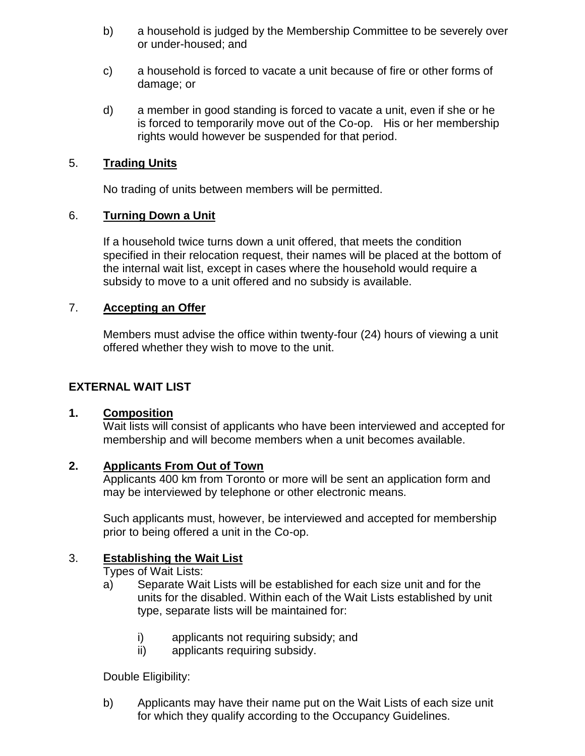- b) a household is judged by the Membership Committee to be severely over or under-housed; and
- c) a household is forced to vacate a unit because of fire or other forms of damage; or
- d) a member in good standing is forced to vacate a unit, even if she or he is forced to temporarily move out of the Co-op. His or her membership rights would however be suspended for that period.

## 5. **Trading Units**

No trading of units between members will be permitted.

# 6. **Turning Down a Unit**

If a household twice turns down a unit offered, that meets the condition specified in their relocation request, their names will be placed at the bottom of the internal wait list, except in cases where the household would require a subsidy to move to a unit offered and no subsidy is available.

## 7. **Accepting an Offer**

Members must advise the office within twenty-four (24) hours of viewing a unit offered whether they wish to move to the unit.

# **EXTERNAL WAIT LIST**

### **1. Composition**

Wait lists will consist of applicants who have been interviewed and accepted for membership and will become members when a unit becomes available.

### **2. Applicants From Out of Town**

Applicants 400 km from Toronto or more will be sent an application form and may be interviewed by telephone or other electronic means.

Such applicants must, however, be interviewed and accepted for membership prior to being offered a unit in the Co-op.

# 3. **Establishing the Wait List**

Types of Wait Lists:

- a) Separate Wait Lists will be established for each size unit and for the units for the disabled. Within each of the Wait Lists established by unit type, separate lists will be maintained for:
	- i) applicants not requiring subsidy; and
	- ii) applicants requiring subsidy.

Double Eligibility:

b) Applicants may have their name put on the Wait Lists of each size unit for which they qualify according to the Occupancy Guidelines.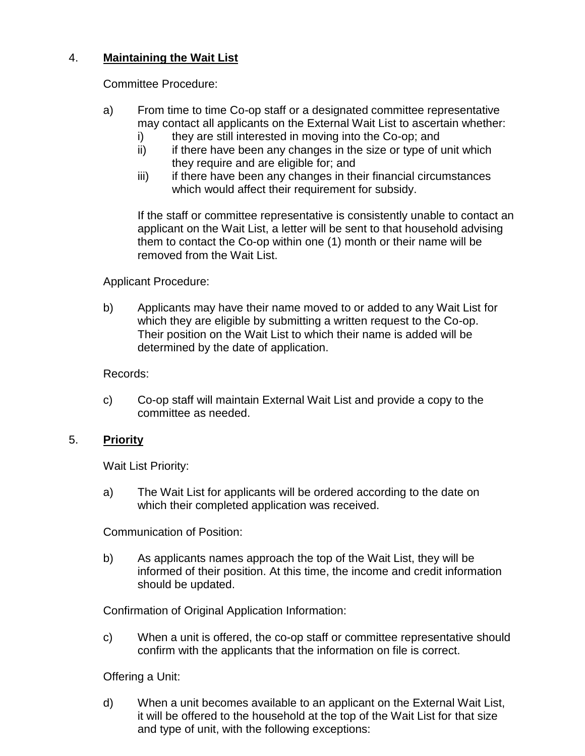# 4. **Maintaining the Wait List**

Committee Procedure:

- a) From time to time Co-op staff or a designated committee representative may contact all applicants on the External Wait List to ascertain whether:
	- i) they are still interested in moving into the Co-op; and
	- ii) if there have been any changes in the size or type of unit which they require and are eligible for; and
	- iii) if there have been any changes in their financial circumstances which would affect their requirement for subsidy.

If the staff or committee representative is consistently unable to contact an applicant on the Wait List, a letter will be sent to that household advising them to contact the Co-op within one (1) month or their name will be removed from the Wait List.

# Applicant Procedure:

b) Applicants may have their name moved to or added to any Wait List for which they are eligible by submitting a written request to the Co-op. Their position on the Wait List to which their name is added will be determined by the date of application.

Records:

c) Co-op staff will maintain External Wait List and provide a copy to the committee as needed.

# 5. **Priority**

Wait List Priority:

a) The Wait List for applicants will be ordered according to the date on which their completed application was received.

Communication of Position:

b) As applicants names approach the top of the Wait List, they will be informed of their position. At this time, the income and credit information should be updated.

Confirmation of Original Application Information:

c) When a unit is offered, the co-op staff or committee representative should confirm with the applicants that the information on file is correct.

Offering a Unit:

d) When a unit becomes available to an applicant on the External Wait List, it will be offered to the household at the top of the Wait List for that size and type of unit, with the following exceptions: